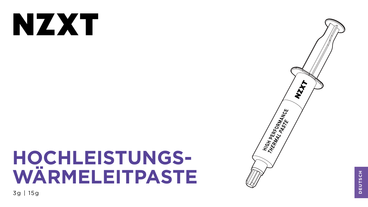# NXX

# HOCHLEISTUNGS-WARMELEITPASTE

3g | 15g



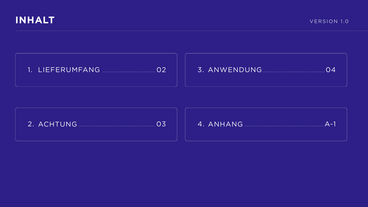







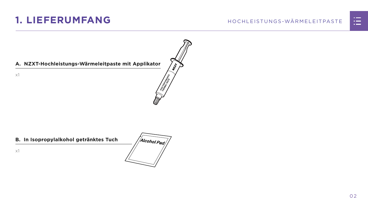## <span id="page-2-0"></span>1. LIEFERUMFANG

#### A. NZXT-Hochleistungs-Wärmeleitpaste mit Applikator

 $x1$ 

#### B. In Isopropylalkohol getränktes Tuch



Alcohol Pad



**RMANCE** 



 $O<sub>2</sub>$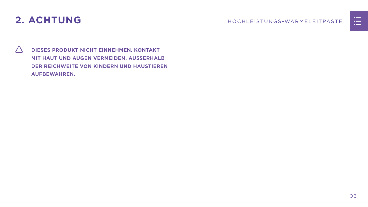

<span id="page-3-0"></span>

 **DIESES PRODUKT NICHT EINNEHMEN. KONTAKT MIT HAUT UND AUGEN VERMEIDEN. AUSSERHALB DER REICHWEITE VON KINDERN UND HAUSTIEREN AUFBEWAHREN.**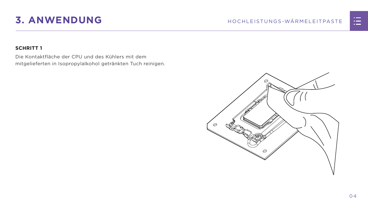## <span id="page-4-0"></span>**3. ANWENDUNG** HOCHLEISTUNGS-WÄRMELEITPASTE

#### **SCHRITT 1**

Die Kontaktfläche der CPU und des Kühlers mit dem mitgelieferten in Isopropylalkohol getränkten Tuch reinigen.



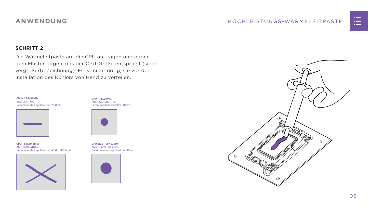



#### **SCHRITT 2**

Die Wärmeleitpaste auf die CPU auftragen und dabei dem Muster folgen, das der CPU-Größe entspricht (siehe vergrößerte Zeichnung). Es ist nicht nötig, sie vor der Installation des Kühlers von Hand zu verteilen.

### **ANWENDUNG**

**CPU - 35X35MM** Intel LGA 1200/115x Recommended application : 10mm



**CPU SIZE - 40X40MM** AM4 & Intel LGA 20xx Recommended application : 15mm



**CPU - 68X50.5MM** AMD STR4/sTRX4 Recommended application : 43.68x26.18mm



**CPU - 37.5X45MM** Intel LGA 1700 Recommended application : 25.8mm

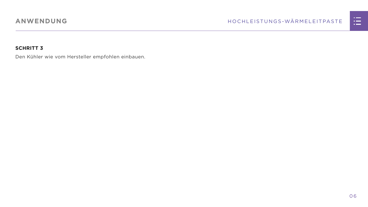

#### **SCHRITT 3**

Den Kühler wie vom Hersteller empfohlen einbauen.

### **ANWENDUNG**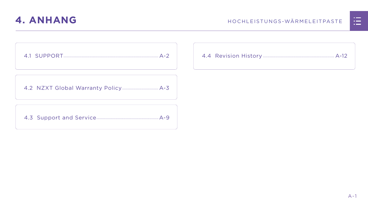

<span id="page-7-0"></span>

[4.2 NZXT Global Warranty Policy................................](#page-9-0) A-3

[4.3 Support and Service.......................................................A-9](#page-15-0)



|  | <u>n in de la</u>                                                                                                     |  |
|--|-----------------------------------------------------------------------------------------------------------------------|--|
|  | <u>ra masa</u>                                                                                                        |  |
|  | <u>a shekara ta 1989, a shekara ta 1989, a shekara ta 1989, a shekara ta 1989, a shekara ta 1989, a shekara ta 19</u> |  |
|  |                                                                                                                       |  |
|  |                                                                                                                       |  |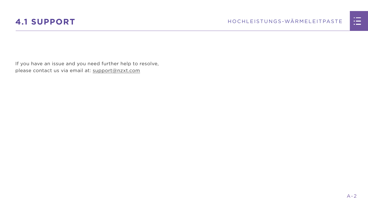



<span id="page-8-0"></span>If you have an issue and you need further help to resolve, please contact us via email at: support@nzxt.com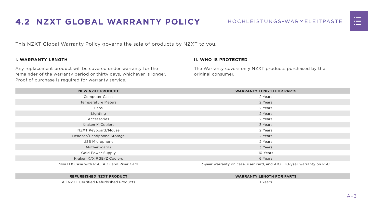



<span id="page-9-0"></span>This NZXT Global Warranty Policy governs the sale of products by NZXT to you.

#### **I. WARRANTY LENGTH**

Any replacement product will be covered under warranty for the remainder of the warranty period or thirty days, whichever is longer. Proof of purchase is required for warranty service.

#### **II. WHO IS PROTECTED**

The Warranty covers only NZXT products purchased by the original consumer.

| <b>NEW NZXT PRODUCT</b>                     | <b>WARRANTY LENGTH FOR PARTS</b>                                       |  |  |
|---------------------------------------------|------------------------------------------------------------------------|--|--|
| <b>Computer Cases</b>                       | 2 Years                                                                |  |  |
| <b>Temperature Meters</b>                   | 2 Years                                                                |  |  |
| Fans                                        | 2 Years                                                                |  |  |
| Lighting                                    | 2 Years                                                                |  |  |
| Accessories                                 | 2 Years                                                                |  |  |
| <b>Kraken M Coolers</b>                     | 3 Years                                                                |  |  |
| NZXT Keyboard/Mouse                         | 2 Years                                                                |  |  |
| Headset/Headphone Storage                   | 2 Years                                                                |  |  |
| <b>USB Microphone</b>                       | 2 Years                                                                |  |  |
| Motherboards                                | 3 Years                                                                |  |  |
| <b>Gold Power Supply</b>                    | 10 Years                                                               |  |  |
| Kraken X/X RGB/Z Coolers                    | 6 Years                                                                |  |  |
| Mini ITX Case with PSU, AIO, and Riser Card | 3-year warranty on case, riser card, and AIO. 10-year warranty on PSU. |  |  |

#### **REFURBISHED NZXT PRODUCT WARRANTY LENGTH FOR PARTS**





All NZXT Certified Refurbished Products 1 Years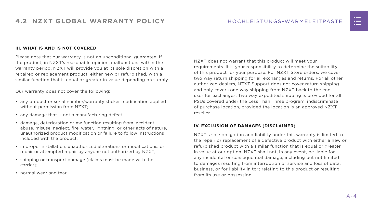#### **III. WHAT IS AND IS NOT COVERED**

Please note that our warranty is not an unconditional guarantee. If the product, in NZXT's reasonable opinion, malfunctions within the warranty period, NZXT will provide you at its sole discretion with a repaired or replacement product, either new or refurbished, with a similar function that is equal or greater in value depending on supply.

Our warranty does not cover the following:

- any product or serial number/warranty sticker modification applied without permission from NZXT;
- any damage that is not a manufacturing defect;
- damage, deterioration or malfunction resulting from: accident, abuse, misuse, neglect, fire, water, lightning, or other acts of nature, unauthorized product modification or failure to follow instructions included with the product;
- improper installation, unauthorized alterations or modifications, or repair or attempted repair by anyone not authorized by NZXT;
- shipping or transport damage (claims must be made with the carrier);
- normal wear and tear.

NZXT does not warrant that this product will meet your requirements. It is your responsibility to determine the suitability of this product for your purpose. For NZXT Store orders, we cover two way return shipping for all exchanges and returns. For all other authorized dealers, NZXT Support does not cover return shipping and only covers one way shipping from NZXT back to the end user for exchanges. Two way expedited shipping is provided for all PSUs covered under the Less Than Three program, indiscriminate of purchase location, provided the location is an approved NZXT reseller.

#### **IV. EXCLUSION OF DAMAGES (DISCLAIMER)**

NZXT's sole obligation and liability under this warranty is limited to the repair or replacement of a defective product with either a new or refurbished product with a similar function that is equal or greater in value at our option. NZXT shall not, in any event, be liable for any incidental or consequential damage, including but not limited to damages resulting from interruption of service and loss of data, business, or for liability in tort relating to this product or resulting from its use or possession.

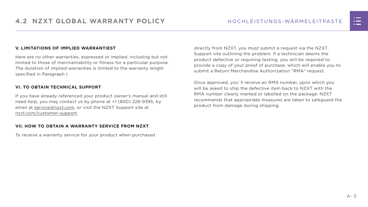#### **V. LIMITATIONS OF IMPLIED WARRANTIEST**

Here are no other warranties, expressed or implied, including but not limited to those of merchantability or fitness for a particular purpose. The duration of implied warranties is limited to the warranty length specified in Paragraph I.

#### **VI. TO OBTAIN TECHNICAL SUPPORT**

If you have already referenced your product owner's manual and still need help, you may contact us by phone at +1 (800) 228-9395, by email at [service@nzxt.com](mailto:service%40nzxt.com?subject=), or visit the NZXT Support site at [nzxt.com/customer-support.](http://nzxt.com/customer-support)

#### **VII. HOW TO OBTAIN A WARRANTY SERVICE FROM NZXT**

To receive a warranty service for your product when purchased

directly from NZXT, you must submit a request via the NZXT Support site outlining the problem. If a technician deems the product defective or requiring testing, you will be required to provide a copy of your proof of purchase, which will enable you to submit a Return Merchandise Authorization "RMA" request.

Once approved, you`ll receive an RMA number, upon which you will be asked to ship the defective item back to NZXT with the RMA number clearly marked or labelled on the package. NZXT recommends that appropriate measures are taken to safeguard the product from damage during shipping.

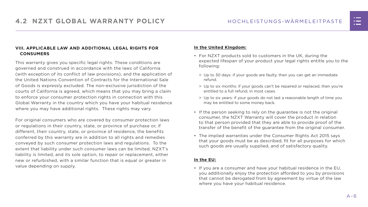#### **VIII. APPLICABLE LAW AND ADDITIONAL LEGAL RIGHTS FOR CONSUMERS**

This warranty gives you specific legal rights. These conditions are governed and construed in accordance with the laws of California (with exception of its conflict of law provisions), and the application of the United Nations Convention of Contracts for the International Sale of Goods is expressly excluded. The non-exclusive jurisdiction of the courts of California is agreed, which means that you may bring a claim to enforce your consumer protection rights in connection with this Global Warranty in the country which you have your habitual residence where you may have additional rights. These rights may vary.

For original consumers who are covered by consumer protection laws or regulations in their country, state, or province of purchase or, if different, their country, state, or province of residence, the benefits conferred by this warranty are in addition to all rights and remedies conveyed by such consumer protection laws and regulations. To the extent that liability under such consumer laws can be limited, NZXT's liability is limited, and its sole option, to repair or replacement, either new or refurbished, with a similar function that is equal or greater in value depending on supply.

#### **In the United Kingdom:**

- For NZXT products sold to customers in the UK, during the expected lifespan of your product your legal rights entitle you to the following:
	- > Up to 30 days: if your goods are faulty, then you can get an immediate refund.
	- > Up to six months: if your goods can't be repaired or replaced, then you're entitled to a full refund, in most cases.
	- > Up to six years: if your goods do not last a reasonable length of time you may be entitled to some money back.
- If the person seeking to rely on the guarantee is not the original consumer, the NZXT Warranty will cover the product in relation to that person provided that they are able to provide proof of the transfer of the benefit of the guarantee from the original consumer.
- The implied warranties under the Consumer Rights Act 2015 says that your goods must be as described, fit for all purposes for which such goods are usually supplied, and of satisfactory quality.

#### **In the EU:**

• If you are a consumer and have your habitual residence in the EU, you additionally enjoy the protection afforded to you by provisions that cannot be derogated from by agreement by virtue of the law where you have your habitual residence.

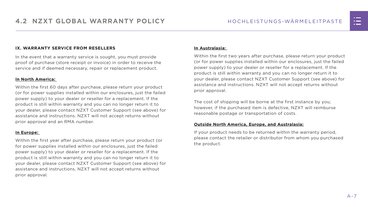#### **IX. WARRANTY SERVICE FROM RESELLERS**

In the event that a warranty service is sought, you must provide proof of purchase (store receipt or invoice) in order to receive the service and if deemed necessary, repair or replacement product.

#### **In North America:**

Within the first 60 days after purchase, please return your product (or for power supplies installed within our enclosures, just the failed power supply) to your dealer or reseller for a replacement. If the product is still within warranty and you can no longer return it to your dealer, please contact NZXT Customer Support (see above) for assistance and instructions. NZXT will not accept returns without prior approval and an RMA number.

#### **In Europe:**

Within the first year after purchase, please return your product (or for power supplies installed within our enclosures, just the failed power supply) to your dealer or reseller for a replacement. If the product is still within warranty and you can no longer return it to your dealer, please contact NZXT Customer Support (see above) for assistance and instructions. NZXT will not accept returns without prior approval.

#### **In Australasia:**

Within the first two years after purchase, please return your product (or for power supplies installed within our enclosures, just the failed power supply) to your dealer or reseller for a replacement. If the product is still within warranty and you can no longer return it to your dealer, please contact NZXT Customer Support (see above) for assistance and instructions. NZXT will not accept returns without prior approval.

The cost of shipping will be borne at the first instance by you; however, if the purchased item is defective, NZXT will reimburse reasonable postage or transportation of costs.

#### **Outside North America, Europe, and Australasia:**

If your product needs to be returned within the warranty period, please contact the retailer or distributor from whom you purchased the product.

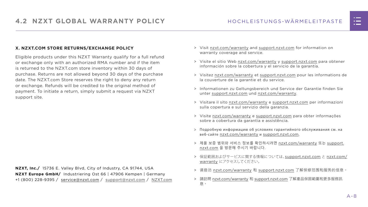#### **X. NZXT.COM STORE RETURNS/EXCHANGE POLICY**

Eligible products under this NZXT Warranty qualify for a full refund or exchange only with an authorized RMA number and if the item is returned to the NZXT.com store inventory within 30 days of purchase. Returns are not allowed beyond 30 days of the purchase date. The NZXT.com Store reserves the right to deny any return or exchange. Refunds will be credited to the original method of payment. To initiate a return, simply submit a request via NZXT support site.

- > Visit [nzxt.com/warranty](http://nzxt.com/warranty) and [support.nzxt.com](http://support.nzxt.com) for information on warranty coverage and service.
- > Visite el sitio Web [nzxt.com/warranty](http://nzxt.com/warranty) y [support.nzxt.com](http://support.nzxt.com) para obtener información sobre la cobertura y el servicio de la garantía.
- > Visitez [nzxt.com/warranty](http://nzxt.com/warranty) et [support.nzxt.com](http://support.nzxt.com) pour les informations de la couverture de la garantie et du service.
- > Informationen zu Geltungsbereich und Service der Garantie finden Sie unter [support.nzxt.com](http://support.nzxt.com) und [nzxt.com/warranty.](http://nzxt.com/warranty)
- > Visitare il sito [nzxt.com/warranty](http://nzxt.com/warranty) e [support.nzxt.com](http://support.nzxt.com) per informazioni sulla copertura e sul servizio della garanzia.
- > Visite [nzxt.com/warranty](http://nzxt.com/warranty) e [support.nzxt.com](http://support.nzxt.com) para obter informações sobre a cobertura da garantia e assistência.
- > Подробную информацию об условиях гарантийного обслуживания см. на веб-сайте [nzxt.com/warranty](http://nzxt.com/warranty) и [support.nzxt.com](http://support.nzxt.com).
- > 제품 보증 범위와 서비스 정보를 확인하시려면 [nzxt.com/warranty](http://nzxt.com/warranty) 또는 [support.](http://support.nzxt.com) [nzxt.com](http://support.nzxt.com) 을 방문해 주시기 바랍니다.
- > 保証範囲およびサービスに関する情報については、[support.nzxt.com](http://support.nzxt.com) と [nzxt.com/](http://nzxt.com/warranty) [warranty](http://nzxt.com/warranty) にアクセスしてください。
- > 请造访 nzxt.com/warranty 和 [support.nzxt.com](http://support.nzxt.com) 了解保修范围和服务的信息。
- > 請訪問 [nzxt.com/warranty](http://nzxt.com/warranty) 和 [support.nzxt.com](http://support.nzxt.com) 了解產品保固範圍和更多服務訊 息。



**NZXT, Inc./** 15736 E. Valley Blvd, City of Industry, CA 91744, USA **NZXT Europe GmbH/** Industriering Ost 66 | 47906 Kempen | Germany +1 (800) 228-9395 / service@nzxt.com / [support@nzxt.com](mailto:support%40nzxt.com?subject=) / NZX[T.com](http://nzxt.com)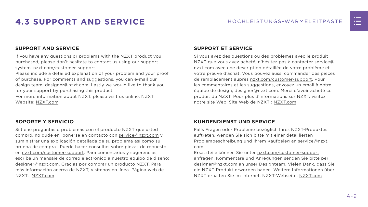

## <span id="page-15-0"></span>**4.3 SUPPORT AND SERVICE** HOCHLEISTUNGS-WÄRMELEITPASTE

#### **SUPPORT AND SERVICE**

If you have any questions or problems with the NZXT product you purchased, please don't hesitate to contact us using our support system. [nzxt.com/customer-support](http://nzxt.com/customer-support)

Please include a detailed explanation of your problem and your proof of purchase. For comments and suggestions, you can e-mail our design team, [designer@nzxt.com.](mailto:designer%40nzxt.com?subject=) Lastly we would like to thank you for your support by purchasing this product.

For more information about NZXT, please visit us online. NZXT Website: NZX[T.com](http://nzxt.com)

#### **SOPORTE Y SERVICIO**

Si tiene preguntas o problemas con el producto NZXT que usted compró, no dude en ponerse en contacto con [service@nzxt.com](mailto:service%40nzxt.com?subject=) y suministrar una explicación detallada de su problema así como su prueba de compra. Puede hacer consultas sobre piezas de repuesto en [nzxt.com/customer-support.](http://nzxt.com/customer-support) Para comentarios y sugerencias, escriba un mensaje de correo electrónico a nuestro equipo de diseño: [designer@nzxt.com.](mailto:designer%40nzxt.com?subject=) Gracias por comprar un producto NZXT. Para más información acerca de NZXT, visítenos en línea. Página web de NZXT: NZX[T.com](http://nzxt.com)

#### **SUPPORT ET SERVICE**

Si vous avez des questions ou des problèmes avec le produit NZXT que vous avez acheté, n'hésitez pas à contacter service@ nzxt.com avec une description détaillée de votre problème et votre preuve d'achat. Vous pouvez aussi commander des pièces de remplacement auprès [nzxt.com/customer-support.](http://nzxt.com/customer-support) Pour les commentaires et les suggestions, envoyez un email à notre équipe de design, [designer@nzxt.com.](mailto:designer%40nzxt.com?subject=) Merci d'avoir acheté ce produit de NZXT. Pour plus d'informations sur NZXT, visitez notre site Web. Site Web de NZXT : NZX[T.com](http://nzxt.com)

#### **KUNDENDIENST UND SERVICE**

Falls Fragen oder Probleme bezüglich Ihres NZXT-Produktes auftreten, wenden Sie sich bitte mit einer detaillierten Problembeschreibung und Ihrem Kaufbeleg an [service@nzxt.](mailto:service%40nzxt.com?subject=) [com](mailto:service%40nzxt.com?subject=).

Ersatzteile können Sie unter [nzxt.com/customer-support](http://nzxt.com/customer-support) anfragen. Kommentare und Anregungen senden Sie bitte per [designer@nzxt.com](mailto:designer%40nzxt.com?subject=) an unser Designteam. Vielen Dank, dass Sie ein NZXT-Produkt erworben haben. Weitere Informationen über NZXT erhalten Sie im Internet. NZXT-Webseite: NZX[T.com](http://nzxt.com)

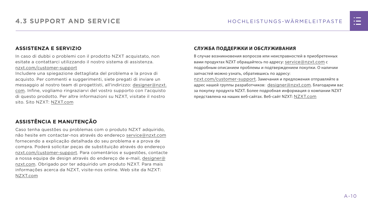#### **ASSISTENZA E SERVIZIO**

In caso di dubbi o problemi con il prodotto NZXT acquistato, non esitate a contattarci utilizzando il nostro sistema di assistenza. [nzxt.com/customer-support](http://nzxt.com/customer-support)

Includere una spiegazione dettagliata del problema e la prova di acquisto. Per commenti e suggerimenti, siete pregati di inviare un messaggio al nostro team di progettisti, all'indirizzo: [designer@nzxt.](mailto:designer%40nzxt.com?subject=) [com](mailto:designer%40nzxt.com?subject=). Infine, vogliamo ringraziarvi del vostro supporto con l'acquisto di questo prodotto. Per altre informazioni su NZXT, visitate il nostro sito. Sito NZXT: NZX[T.com](http://nzxt.com)

#### **ASSISTÊNCIA E MANUTENÇÃO**

адрес нашей группы разработчиков: [designer@nzxt.com](mailto:designer%40nzxt.com?subject=). Благодарим вас за покупку продукта NZXT. Более подробная информация о компании NZXT представлена на наших веб-сайтах. Веб-сайт NZXT: NZX[T.com](http://nzxt.com)



Caso tenha questões ou problemas com o produto NZXT adquirido, não hesite em contactar-nos através do endereço [service@nzxt.com](mailto:service%40nzxt.com?subject=) fornecendo a explicação detalhada do seu problema e a prova de compra. Poderá solicitar peças de substituição através do endereço [nzxt.com/customer-support.](http://nzxt.com/customer-support) Para comentários e sugestões, contacte a nossa equipa de design através do endereço de e-mail, [designer@](mailto:designer%40nzxt.com?subject=) [nzxt.com.](mailto:designer%40nzxt.com?subject=) Obrigado por ter adquirido um produto NZXT. Para mais informações acerca da NZXT, visite-nos online. Web site da NZXT: NZX[T.com](http://nzxt.com)

#### **СЛУЖБА ПОДДЕРЖКИ И ОБСЛУЖИВАНИЯ**

В случае возникновения вопросов или неисправностей в приобретенных вами продуктах NZXT обращайтесь по адресу: [service@nzxt.com](mailto:service%40nzxt.com?subject=) с подробным описанием проблемы и подтверждением покупки. О наличии запчастей можно узнать, обратившись по адресу: [nzxt.com/customer-support](http://nzxt.com/customer-support). Замечания и предложения отправляйте в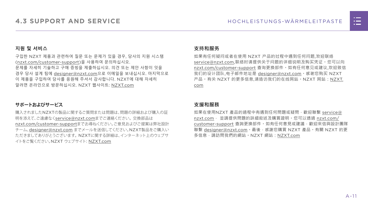

#### **지원 및 서비스**

구입한 NZXT 제품과 관련하여 질문 또는 문제가 있을 경우, 당사의 지원 시스템 ([nzxt.com/customer-support\)](http://nzxt.com/customer-support)을 사용하여 문의하십시오. 문제를 자세히 기술하고 구매 증빙을 제출하십시오. 의견 또는 제안 사항이 잇을 경우 당사 설계 팀에 [designer@nzxt.com](mailto:designer%40nzxt.com?subject=)으로 이메일을 보내십시오. 마지막으로 이 제품을 구입하여 당사를 응원해 주셔서 감사합니다. NZXT에 대해 자세히 알려면 온라인으로 방문하십시오. NZXT 웹사이트: NZX[T.com](http://nzxt.com)

#### **サポートおよびサービス**

購入されましたNZXTの製品に関するご質問または問題は、問題の詳細および購入の証 明を添えて、ご遠慮なく[service@nzxt.com](mailto:service%40nzxt.com?subject=)までご連絡ください。交換部品は [nzxt.com/customer-support](http://nzxt.com/customer-support)までお尋ねください。ご意見およびご提案は弊社設計 チーム、[designer@nzxt.com](mailto:designer%40nzxt.com?subject=) までメールを送信してください。NZXT製品をご購入い ただきましてありがとうございます。 NZXTに関する詳細は、インターネット上のウェブサ イトをご覧ください。NZXT ウェブサイト: NZX[T.com](http://nzxt.com)

#### **支持和服务**

如果有任何疑问或者在使用 NZXT 产品的过程中遇到任何问题,欢迎联络 [service@nzxt.com,](mailto:service%40nzxt.com?subject=)联络时请提供关于问题的详细说明及购买凭证。您可以向 [nzxt.com/customer-support](http://nzxt.com/customer-support) 查询更换部件。如有任何意见或建议,欢迎致信 我们的设计团队,电子邮件地址是 designer@nzxt.com。感谢您购买 NZXT 产品。有关 NZXT 的更多信息,请造访我们的在线网站。NZXT 网站:NZX[T.](http://nzxt.com) [com](http://nzxt.com)

#### **支援和服務**

如果在使用NZXT 產品的過程中有遇到任何問題或疑問,歡迎聯繫 [service@](mailto:service%40nzxt.com?subject=) [nzxt.com](mailto:service%40nzxt.com?subject=), 並請提供問題的詳細敘述及購買證明。您可以透過 [nzxt.com/](http://nzxt.com/customer-support) [customer-support](http://nzxt.com/customer-support) 查詢更換部件。如有任何意見或建議,歡迎來信與設計團隊 聯繫 designer@nzxt.com。最後,感謝您購買 NZXT 產品。有關 NZXT 的更 多信息,請訪問我們的網站。NZXT 網站: NZXT.com